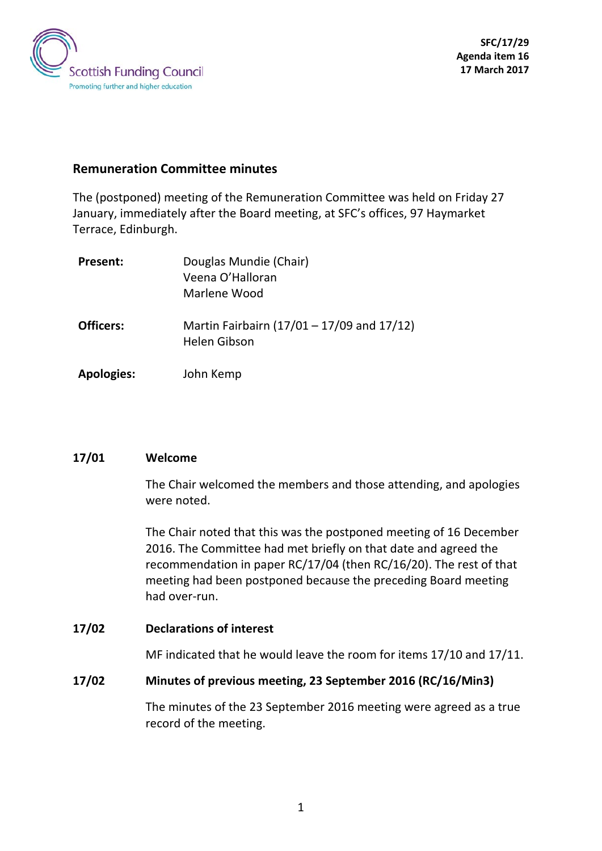

# **Remuneration Committee minutes**

The (postponed) meeting of the Remuneration Committee was held on Friday 27 January, immediately after the Board meeting, at SFC's offices, 97 Haymarket Terrace, Edinburgh.

| Present:          | Douglas Mundie (Chair)<br>Veena O'Halloran<br>Marlene Wood        |
|-------------------|-------------------------------------------------------------------|
| <b>Officers:</b>  | Martin Fairbairn (17/01 - 17/09 and 17/12)<br><b>Helen Gibson</b> |
| <b>Apologies:</b> | John Kemp                                                         |

#### **17/01 Welcome**

The Chair welcomed the members and those attending, and apologies were noted.

The Chair noted that this was the postponed meeting of 16 December 2016. The Committee had met briefly on that date and agreed the recommendation in paper RC/17/04 (then RC/16/20). The rest of that meeting had been postponed because the preceding Board meeting had over-run.

#### **17/02 Declarations of interest**

MF indicated that he would leave the room for items 17/10 and 17/11.

#### **17/02 Minutes of previous meeting, 23 September 2016 (RC/16/Min3)**

The minutes of the 23 September 2016 meeting were agreed as a true record of the meeting.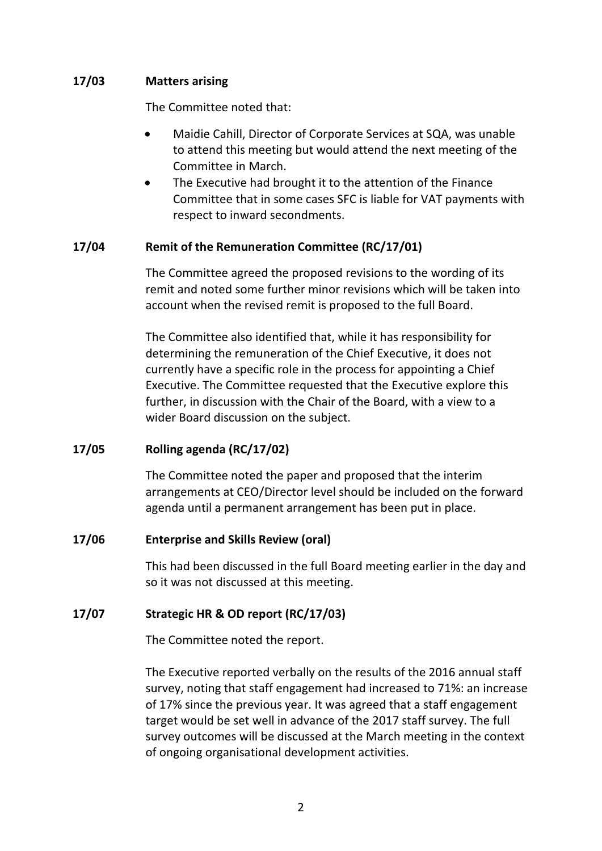## **17/03 Matters arising**

The Committee noted that:

- Maidie Cahill, Director of Corporate Services at SQA, was unable to attend this meeting but would attend the next meeting of the Committee in March.
- The Executive had brought it to the attention of the Finance Committee that in some cases SFC is liable for VAT payments with respect to inward secondments.

## **17/04 Remit of the Remuneration Committee (RC/17/01)**

The Committee agreed the proposed revisions to the wording of its remit and noted some further minor revisions which will be taken into account when the revised remit is proposed to the full Board.

The Committee also identified that, while it has responsibility for determining the remuneration of the Chief Executive, it does not currently have a specific role in the process for appointing a Chief Executive. The Committee requested that the Executive explore this further, in discussion with the Chair of the Board, with a view to a wider Board discussion on the subject.

## **17/05 Rolling agenda (RC/17/02)**

The Committee noted the paper and proposed that the interim arrangements at CEO/Director level should be included on the forward agenda until a permanent arrangement has been put in place.

#### **17/06 Enterprise and Skills Review (oral)**

This had been discussed in the full Board meeting earlier in the day and so it was not discussed at this meeting.

#### **17/07 Strategic HR & OD report (RC/17/03)**

The Committee noted the report.

The Executive reported verbally on the results of the 2016 annual staff survey, noting that staff engagement had increased to 71%: an increase of 17% since the previous year. It was agreed that a staff engagement target would be set well in advance of the 2017 staff survey. The full survey outcomes will be discussed at the March meeting in the context of ongoing organisational development activities.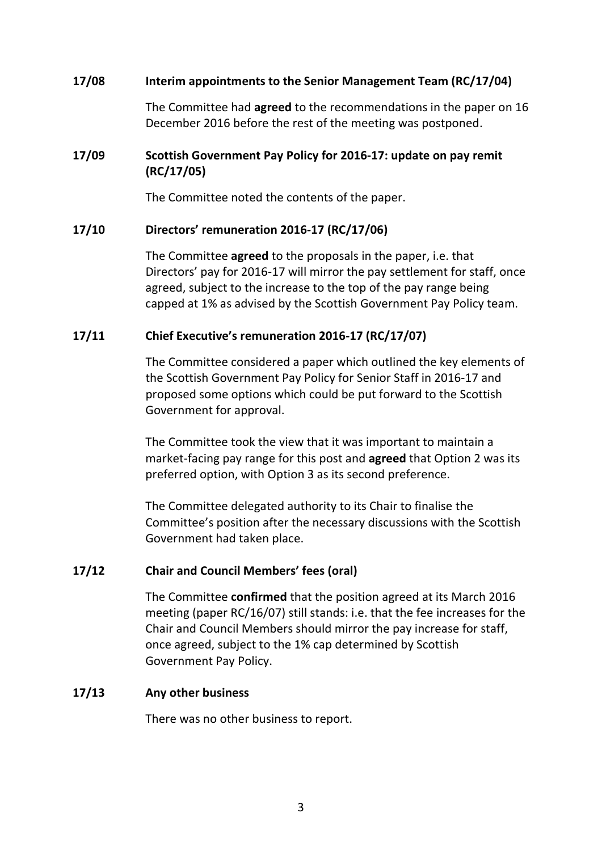### **17/08 Interim appointments to the Senior Management Team (RC/17/04)**

The Committee had **agreed** to the recommendations in the paper on 16 December 2016 before the rest of the meeting was postponed.

# **17/09 Scottish Government Pay Policy for 2016-17: update on pay remit (RC/17/05)**

The Committee noted the contents of the paper.

### **17/10 Directors' remuneration 2016-17 (RC/17/06)**

The Committee **agreed** to the proposals in the paper, i.e. that Directors' pay for 2016-17 will mirror the pay settlement for staff, once agreed, subject to the increase to the top of the pay range being capped at 1% as advised by the Scottish Government Pay Policy team.

### **17/11 Chief Executive's remuneration 2016-17 (RC/17/07)**

The Committee considered a paper which outlined the key elements of the Scottish Government Pay Policy for Senior Staff in 2016-17 and proposed some options which could be put forward to the Scottish Government for approval.

The Committee took the view that it was important to maintain a market-facing pay range for this post and **agreed** that Option 2 was its preferred option, with Option 3 as its second preference.

The Committee delegated authority to its Chair to finalise the Committee's position after the necessary discussions with the Scottish Government had taken place.

#### **17/12 Chair and Council Members' fees (oral)**

The Committee **confirmed** that the position agreed at its March 2016 meeting (paper RC/16/07) still stands: i.e. that the fee increases for the Chair and Council Members should mirror the pay increase for staff, once agreed, subject to the 1% cap determined by Scottish Government Pay Policy.

#### **17/13 Any other business**

There was no other business to report.